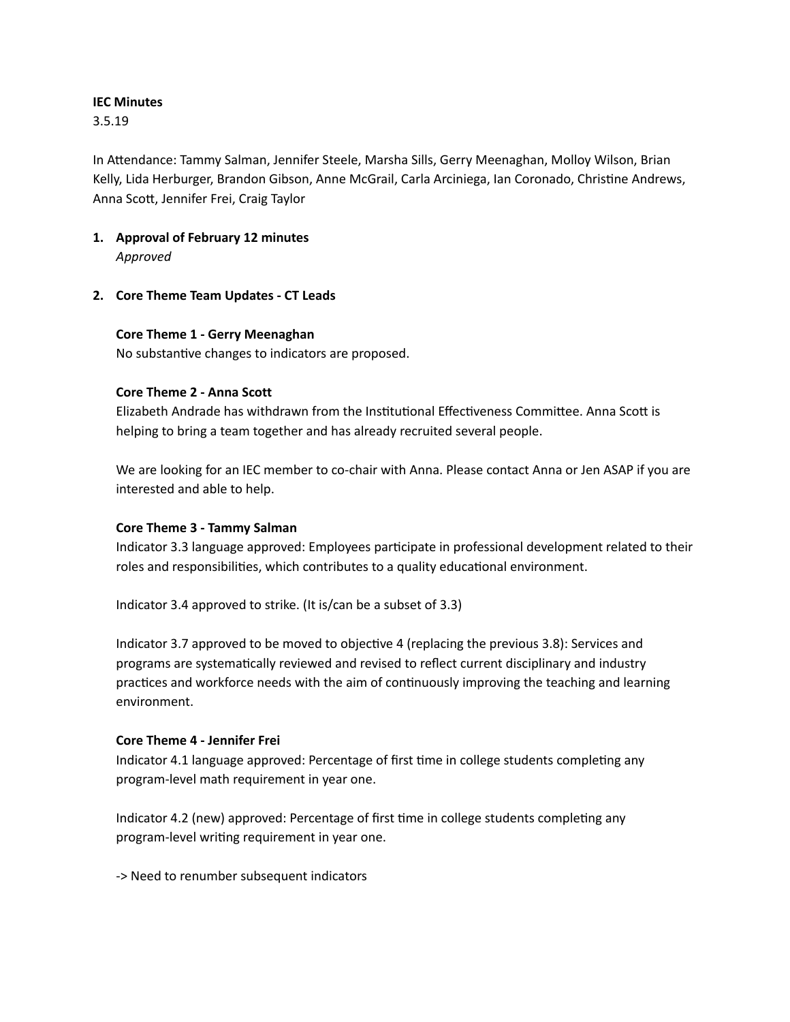#### **IEC Minutes**

3.5.19

In Attendance: Tammy Salman, Jennifer Steele, Marsha Sills, Gerry Meenaghan, Molloy Wilson, Brian Kelly, Lida Herburger, Brandon Gibson, Anne McGrail, Carla Arciniega, Ian Coronado, Christine Andrews, Anna Scott, Jennifer Frei, Craig Taylor

- **1. Approval of February 12 minutes** *Approved*
- **2. Core Theme Team Updates - CT Leads**

#### **Core Theme 1 - Gerry Meenaghan**

No substantive changes to indicators are proposed.

### **Core Theme 2 - Anna Scott**

Elizabeth Andrade has withdrawn from the Institutional Effectiveness Committee. Anna Scott is helping to bring a team together and has already recruited several people.

We are looking for an IEC member to co-chair with Anna. Please contact Anna or Jen ASAP if you are interested and able to help.

### **Core Theme 3 - Tammy Salman**

Indicator 3.3 language approved: Employees participate in professional development related to their roles and responsibilities, which contributes to a quality educational environment.

Indicator 3.4 approved to strike. (It is/can be a subset of 3.3)

Indicator 3.7 approved to be moved to objective 4 (replacing the previous 3.8): Services and programs are systematically reviewed and revised to reflect current disciplinary and industry practices and workforce needs with the aim of continuously improving the teaching and learning environment.

### **Core Theme 4 - Jennifer Frei**

Indicator 4.1 language approved: Percentage of first time in college students completing any program-level math requirement in year one.

Indicator 4.2 (new) approved: Percentage of first time in college students completing any program-level writing requirement in year one.

-> Need to renumber subsequent indicators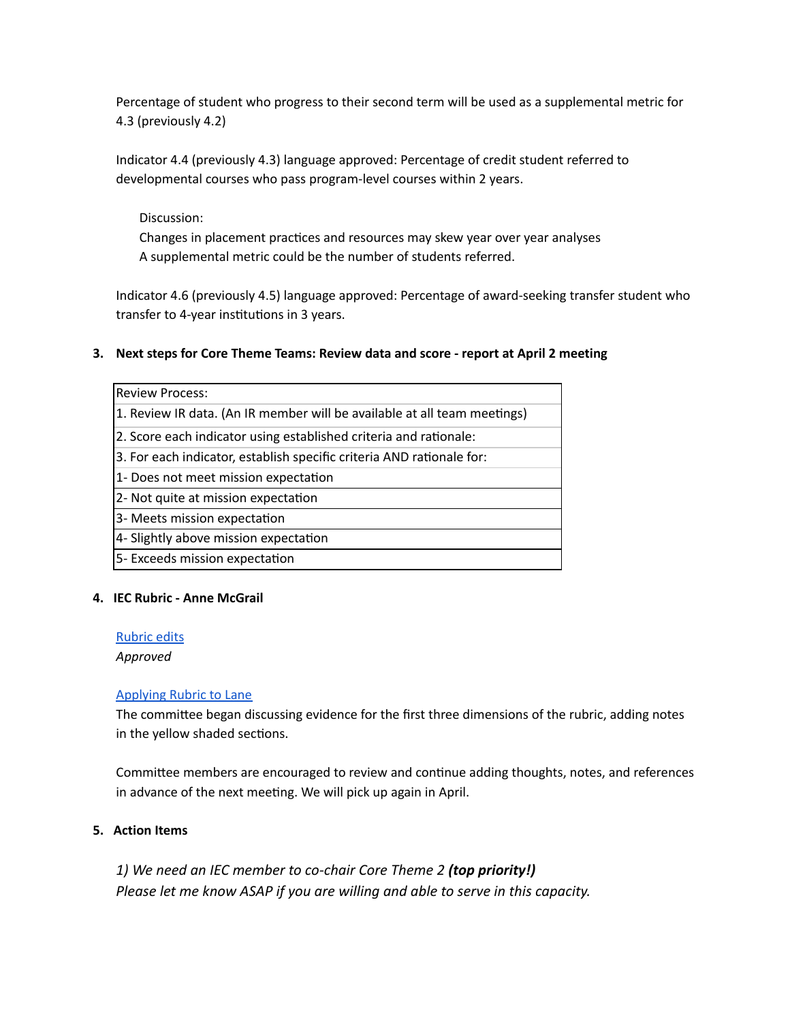Percentage of student who progress to their second term will be used as a supplemental metric for 4.3 (previously 4.2)

Indicator 4.4 (previously 4.3) language approved: Percentage of credit student referred to developmental courses who pass program-level courses within 2 years.

## Discussion:

Changes in placement practices and resources may skew year over year analyses A supplemental metric could be the number of students referred.

Indicator 4.6 (previously 4.5) language approved: Percentage of award-seeking transfer student who transfer to 4-year institutions in 3 years.

## **3. Next steps for Core Theme Teams: Review data and score - report at April 2 meeting**

| <b>Review Process:</b>                                                   |
|--------------------------------------------------------------------------|
| 1. Review IR data. (An IR member will be available at all team meetings) |
| 2. Score each indicator using established criteria and rationale:        |
| 3. For each indicator, establish specific criteria AND rationale for:    |
| 1- Does not meet mission expectation                                     |
| 2- Not quite at mission expectation                                      |
| 3- Meets mission expectation                                             |
| 4- Slightly above mission expectation                                    |
| 5- Exceeds mission expectation                                           |

### **4. IEC Rubric - Anne McGrail**

### [Rubric](https://drive.google.com/open?id=1GF4jhJOq6w9NarfNKFpQEc31Hb0SRHPM0zHz3rd0_Wo) edits

*Approved*

### [Applying](https://drive.google.com/open?id=1hpuBMlgfvG7gO685tao2yaBr8V9r8l2bj_JmdVKImXk) Rubric to Lane

The committee began discussing evidence for the first three dimensions of the rubric, adding notes in the yellow shaded sections.

Committee members are encouraged to review and continue adding thoughts, notes, and references in advance of the next meeting. We will pick up again in April.

## **5. Action Items**

*1) We need an IEC member to co-chair Core Theme 2 (top priority!) Please let me know ASAP if you are willing and able to serve in this capacity.*